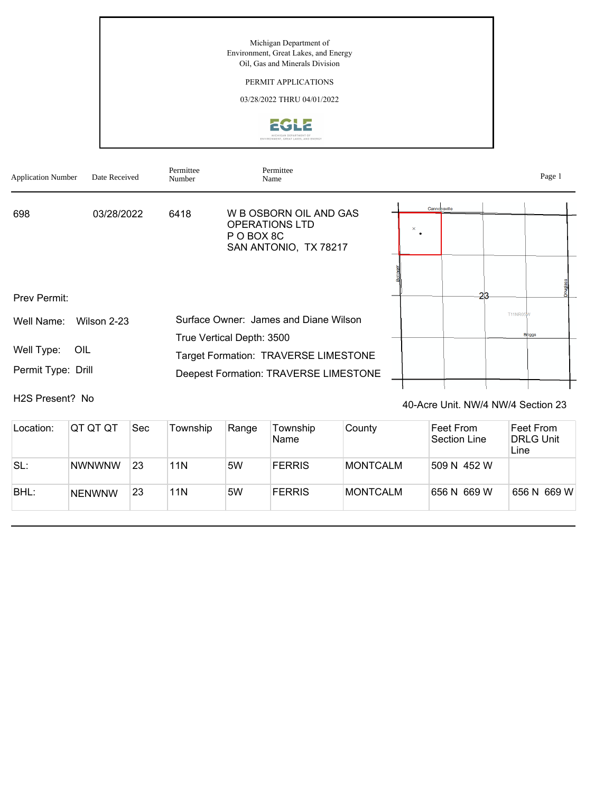Michigan Department of Environment, Great Lakes, and Energy Oil, Gas and Minerals Division

## PERMIT APPLICATIONS

03/28/2022 THRU 04/01/2022



| <b>Application Number</b>               | Date Received | Permittee<br>Number | Permittee<br>Name                                                  |          |              |                 | Page 1        |  |
|-----------------------------------------|---------------|---------------------|--------------------------------------------------------------------|----------|--------------|-----------------|---------------|--|
| 698                                     | 03/28/2022    | 6418                | W B OSBORN OIL AND GAS                                             |          | Cannonsville |                 |               |  |
|                                         |               |                     | <b>OPERATIONS LTD</b><br>P O BOX 8C<br>SAN ANTONIO, TX 78217       | $\times$ |              |                 |               |  |
|                                         |               |                     |                                                                    |          |              |                 |               |  |
| Prev Permit:                            |               |                     |                                                                    |          |              | -23             |               |  |
| Well Name:                              | Wilson 2-23   |                     | Surface Owner: James and Diane Wilson<br>True Vertical Depth: 3500 |          |              | <b>T11NR05W</b> | <b>Briggs</b> |  |
| Well Type:<br>OIL<br>Permit Type: Drill |               |                     | Target Formation: TRAVERSE LIMESTONE                               |          |              |                 |               |  |
|                                         |               |                     | Deepest Formation: TRAVERSE LIMESTONE                              |          |              |                 |               |  |

H2S Present? No

40-Acre Unit. NW/4 NW/4 Section 23

| Location: | IQT QT QT     | <b>Sec</b> | Township | Range | Township<br>Name | County          | Feet From<br>Section Line | Feet From<br><b>DRLG Unit</b><br>Line |
|-----------|---------------|------------|----------|-------|------------------|-----------------|---------------------------|---------------------------------------|
| SL:       | <b>NWNWNW</b> | 23         | 11N      | 5W    | <b>FERRIS</b>    | MONTCALM        | 509 N 452 W               |                                       |
| BHL:      | <b>NENWNW</b> | 23         | 11N      | 5W    | <b>FERRIS</b>    | <b>MONTCALM</b> | 656 N 669 W               | 656 N 669 W                           |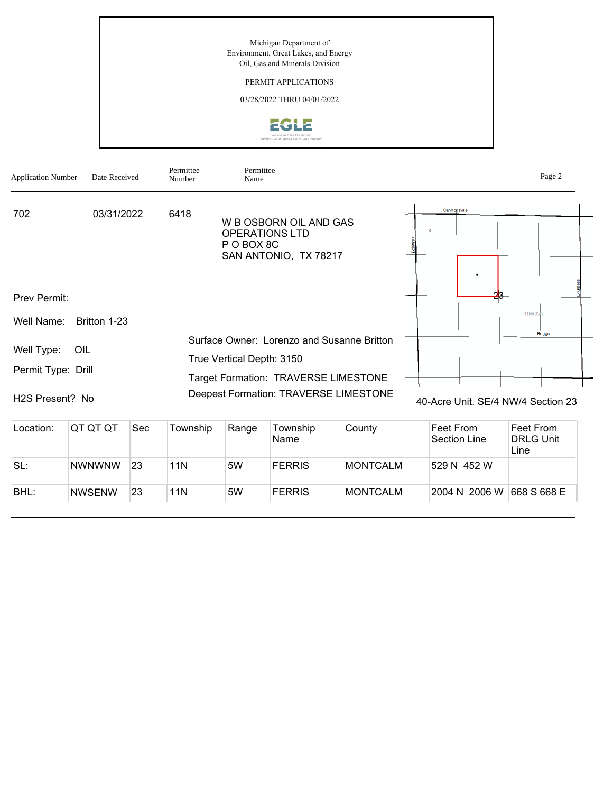Michigan Department of Environment, Great Lakes, and Energy Oil, Gas and Minerals Division

## PERMIT APPLICATIONS

03/28/2022 THRU 04/01/2022



| <b>Application Number</b>                                        | Date Received |     | Permittee<br>Number | Permittee<br>Name                   |                                                                                                                             |        |          |                  |                                    |                 | Page 2        |
|------------------------------------------------------------------|---------------|-----|---------------------|-------------------------------------|-----------------------------------------------------------------------------------------------------------------------------|--------|----------|------------------|------------------------------------|-----------------|---------------|
| 702                                                              | 03/31/2022    |     | 6418                | <b>OPERATIONS LTD</b><br>P O BOX 8C | W B OSBORN OIL AND GAS<br>SAN ANTONIO, TX 78217                                                                             |        | $\times$ | Cannonsville     |                                    |                 |               |
| Prev Permit:<br>Well Name:                                       | Britton 1-23  |     |                     |                                     |                                                                                                                             |        |          |                  |                                    | <b>T11NR05W</b> |               |
| Well Type:<br>Permit Type: Drill<br>H <sub>2</sub> S Present? No | OIL           |     |                     | True Vertical Depth: 3150           | Surface Owner: Lorenzo and Susanne Britton<br>Target Formation: TRAVERSE LIMESTONE<br>Deepest Formation: TRAVERSE LIMESTONE |        |          |                  | 40-Acre Unit, SE/4 NW/4 Section 23 |                 | <b>Briggs</b> |
| Location:                                                        | QT QT QT      | Sec | Township            | Range                               | Township                                                                                                                    | County |          | <b>Feet From</b> |                                    | Feet From       |               |

| LUCQUUII. | ו שו שו שו    | ◡◡  | <b>I</b> UWIISHIP | <b>INGLIYE</b> | I UWIISHID<br>Name | ∪∪uπv           | ווטו ו ספ<br>Section Line | 1 GC 1 1 1 1 1 1 1<br><b>DRLG Unit</b><br>Line |
|-----------|---------------|-----|-------------------|----------------|--------------------|-----------------|---------------------------|------------------------------------------------|
| SL:       | <b>NWNWNW</b> | 23  | 11N               | 5W             | <b>FERRIS</b>      | MONTCALM        | 529 N 452 W               |                                                |
| BHL:      | <b>NWSENW</b> | -23 | 11N               | 5W             | <b>FERRIS</b>      | <b>MONTCALM</b> | 2004 N 2006 W             | 668 S 668 E                                    |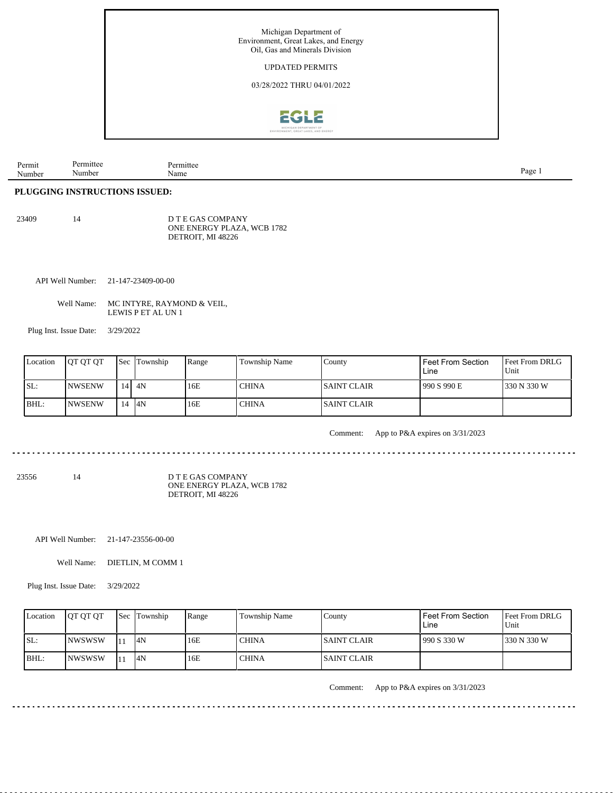

| Permit | mitte              | ermittee |      |
|--------|--------------------|----------|------|
| Number | Numbe <sup>-</sup> | Name     | Page |

## **PLUGGING INSTRUCTIONS ISSUED:**

| 23409 | 14 | D T E GAS COMPANY          |
|-------|----|----------------------------|
|       |    | ONE ENERGY PLAZA, WCB 1782 |
|       |    | DETROIT, MI 48226          |

API Well Number: 21-147-23409-00-00

| Well Name: | MC INTYRE, RAYMOND & VEIL, |
|------------|----------------------------|
|            | LEWIS P ET AL UN 1         |

Plug Inst. Issue Date: 3/29/2022

| Location | <b>IOT OT OT</b> | l Sec | Township | Range | Township Name | County              | Feet From Section<br>Line | <b>Feet From DRLG</b><br>Unit |
|----------|------------------|-------|----------|-------|---------------|---------------------|---------------------------|-------------------------------|
| SL:      | INWSENW          | 14 I  | 4N       | 16E   | CHINA         | <b>ISAINT CLAIR</b> | 1990 S 990 E              | 1330 N 330 W                  |
| BHL:     | INWSENW          | 14    | 14N      | 16E   | CHINA         | <b>ISAINT CLAIR</b> |                           |                               |

Comment: App to P&A expires on 3/31/2023

<u>. . . . . . . . . . . . . . .</u> . . . . . . . . . ...................................

23556 14

D T E GAS COMPANY ONE ENERGY PLAZA, WCB 1782 DETROIT, MI 48226

API Well Number: 21-147-23556-00-00

Well Name: DIETLIN, M COMM 1

Plug Inst. Issue Date: 3/29/2022

| Location | <b>IOT OT OT</b> |     | <b>Sec</b> Township | Range | <b>Township Name</b> | County       | Feet From Section<br>Line | <b>Feet From DRLG</b><br>Unit |
|----------|------------------|-----|---------------------|-------|----------------------|--------------|---------------------------|-------------------------------|
| SL:      | INWSWSW          | l 1 | 14N                 | 16E   | 'CHINA               | ISAINT CLAIR | 990 S 330 W               | 1330 N 330 W                  |
| IBHL:    | <b>INWSWSW</b>   | l 1 | 14N                 | 16E   | <b>CHINA</b>         | ISAINT CLAIR |                           |                               |

. . . . . . . . . . . . . . . . . .

Comment: App to P&A expires on 3/31/2023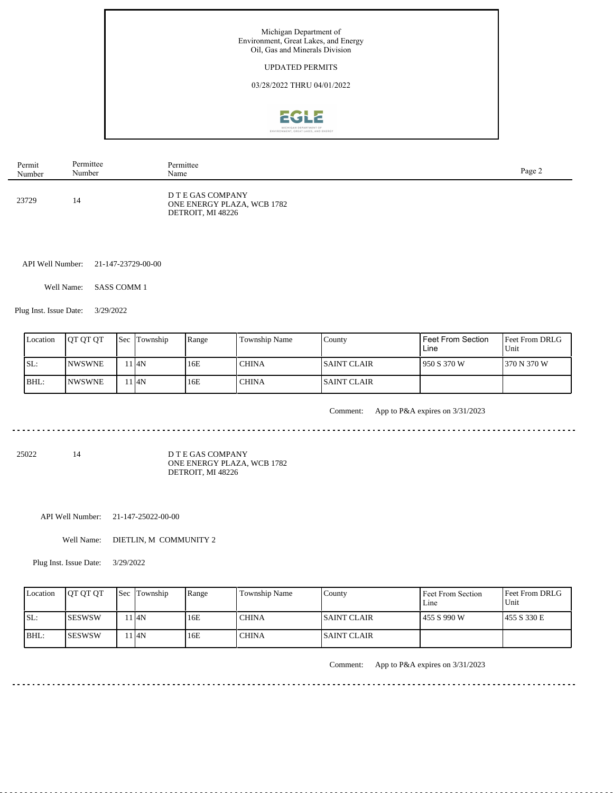

| Permit | Permittee | Permittee                                                            | Page 2 |
|--------|-----------|----------------------------------------------------------------------|--------|
| Number | Number    | Name                                                                 |        |
| 23729  | 14        | D T E GAS COMPANY<br>ONE ENERGY PLAZA, WCB 1782<br>DETROIT, MI 48226 |        |

API Well Number: 21-147-23729-00-00

Well Name: SASS COMM 1

Plug Inst. Issue Date: 3/29/2022

| Location | <b>OT OT OT</b> | <b>Sec</b> | Township | Range | Township Name | County              | <b>Feet From Section</b><br>Line | <b>Feet From DRLG</b><br>Unit |
|----------|-----------------|------------|----------|-------|---------------|---------------------|----------------------------------|-------------------------------|
| SL:      | <b>INWSWNE</b>  |            | . I4N    | 16E   | CHINA         | ISAINT CLAIR        | 950 S 370 W                      | 370 N 370 W                   |
| BHL:     | <b>INWSWNE</b>  |            | 14N      | 16E   | ' CHINA       | <b>ISAINT CLAIR</b> |                                  |                               |

. . . . . . . . . . . .

Comment: App to P&A expires on 3/31/2023

<u>. . . . . . . . . . . . . . . . . . .</u>

25022 14

D T E GAS COMPANY ONE ENERGY PLAZA, WCB 1782 DETROIT, MI 48226

API Well Number: 21-147-25022-00-00

Well Name: DIETLIN, M COMMUNITY 2

 $1.1.1.1.1$ 

Plug Inst. Issue Date: 3/29/2022

| Location | <b>JOT OT OT</b> | <b>Sec Township</b> | Range | Township Name | County              | Feet From Section<br>$L$ ine | <b>Feet From DRLG</b><br>Unit |
|----------|------------------|---------------------|-------|---------------|---------------------|------------------------------|-------------------------------|
| SL:      | ISESWSW          | 14N                 | 16E   | <b>CHINA</b>  | <b>ISAINT CLAIR</b> | 1455 S 990 W                 | 1455 S 330 E                  |
| $IBHL$ : | ISESWSW          | ı I4N               | 16E   | <b>CHINA</b>  | ISAINT CLAIR        |                              |                               |

<u>. . . . . . . . .</u>

Comment: App to P&A expires on 3/31/2023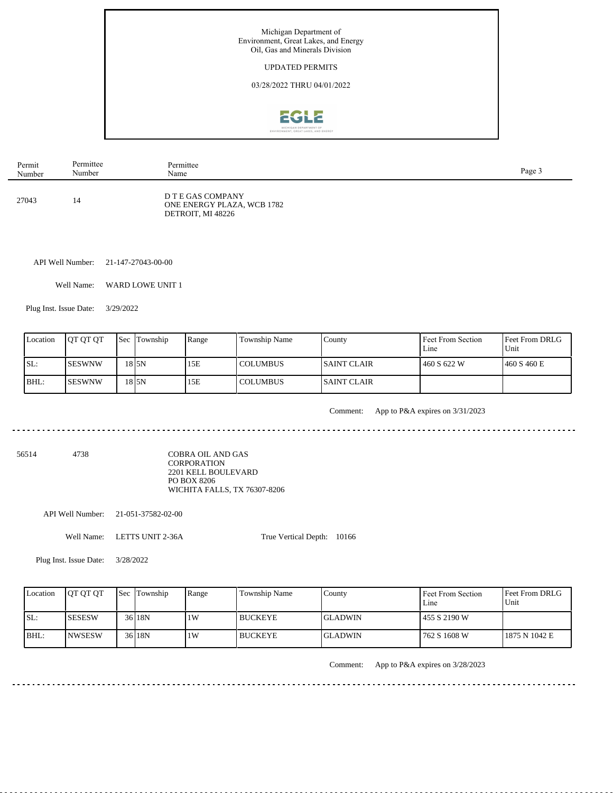

| Permit | Permittee | Permittee                                                            | Page 3 |
|--------|-----------|----------------------------------------------------------------------|--------|
| Number | Number    | Name                                                                 |        |
| 27043  | 14        | D T E GAS COMPANY<br>ONE ENERGY PLAZA, WCB 1782<br>DETROIT, MI 48226 |        |

API Well Number: 21-147-27043-00-00

Well Name: WARD LOWE UNIT 1

Plug Inst. Issue Date: 3/29/2022

| Location | <b>OT OT OT</b> | <b>Sec Township</b> | Range | Township Name | County       | Feet From Section<br>$L$ me | <b>Feet From DRLG</b><br>Unit |
|----------|-----------------|---------------------|-------|---------------|--------------|-----------------------------|-------------------------------|
| ISL:     | ISESWNW         | 18 ISN              | 15E   | COLUMBUS      | ISAINT CLAIR | 1460 S 622 W                | 1460 S 460 E                  |
| $IBHL$ : | <b>ISESWNW</b>  | 18 ISN              | 15E   | COLUMBUS      | ISAINT CLAIR |                             |                               |

. . . . . . . . . . . . . . . . . . .

Comment: App to P&A expires on 3/31/2023

56514 4738

COBRA OIL AND GAS CORPORATION 2201 KELL BOULEVARD PO BOX 8206 WICHITA FALLS, TX 76307-8206

API Well Number: 21-051-37582-02-00

Well Name: LETTS UNIT 2-36A True Vertical Depth: 10166

Plug Inst. Issue Date: 3/28/2022

| Location | JOT OT OT      | Sec Township      | Range | Township Name | County          | Feet From Section<br>Line | <b>Feet From DRLG</b><br>Unit |
|----------|----------------|-------------------|-------|---------------|-----------------|---------------------------|-------------------------------|
| SL:      | <b>ISESESW</b> | 36 18N            | 1W    | l BUCKEYE     | lgladwin        | 1455 S 2190 W             |                               |
| BHL:     | <b>NWSESW</b>  | 36 <sub>18N</sub> | .1W   | l BUCKEYE     | <b>IGLADWIN</b> | 762 S 1608 W              | 1875 N 1042 E                 |

<u>. . . . . . . . . . . . . . . . . .</u>

Comment: App to P&A expires on 3/28/2023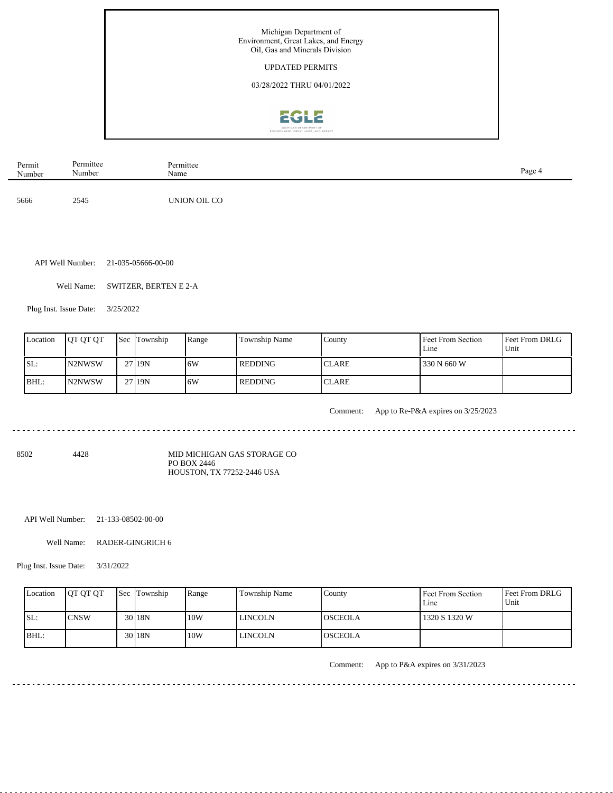

| Permit<br>Number | Permittee<br>Number | Permittee<br>Name | Page 4 |
|------------------|---------------------|-------------------|--------|
| 5666             | 2545                | UNION OIL CO      |        |

API Well Number: 21-035-05666-00-00

Well Name: SWITZER, BERTEN E 2-A

<u>. . . . . . . . . . . . . .</u>

Plug Inst. Issue Date: 3/25/2022

| Location | <b>OT OT OT</b>     | Sec Township | Range | Township Name | County        | Feet From Section<br>Line | <b>Feet From DRLG</b><br>Unit |
|----------|---------------------|--------------|-------|---------------|---------------|---------------------------|-------------------------------|
| SL:      | N <sub>2</sub> NWSW | 27119N       | 6W    | REDDING       | <b>ICLARE</b> | 330 N 660 W               |                               |
| IBHL:    | IN2NWSW             | 27 19N       | .6W   | REDDING       | <b>ICLARE</b> |                           |                               |

<u>. . . . . . . . . . . . . . . . . .</u>

Comment: App to Re-P&A expires on 3/25/2023

8502 4428

MID MICHIGAN GAS STORAGE CO PO BOX 2446 HOUSTON, TX 77252-2446 USA

API Well Number: 21-133-08502-00-00

Well Name: RADER-GINGRICH 6

Plug Inst. Issue Date: 3/31/2022

| Location | <b>IOT OT OT</b> | <b>Sec Township</b> | Range | Township Name | County          | Feet From Section<br>Line | Feet From DRLG<br>Unit |
|----------|------------------|---------------------|-------|---------------|-----------------|---------------------------|------------------------|
| SL:      | 'CNSW            | 30 <sub>18N</sub>   | 10W   | LINCOLN       | <b>IOSCEOLA</b> | 1320 S 1320 W             |                        |
| BHL:     |                  | 30 <sub>18N</sub>   | 10W   | LINCOLN       | <b>IOSCEOLA</b> |                           |                        |

<u>. . . . . . . . . . . . . . . . . .</u>

Comment: App to P&A expires on 3/31/2023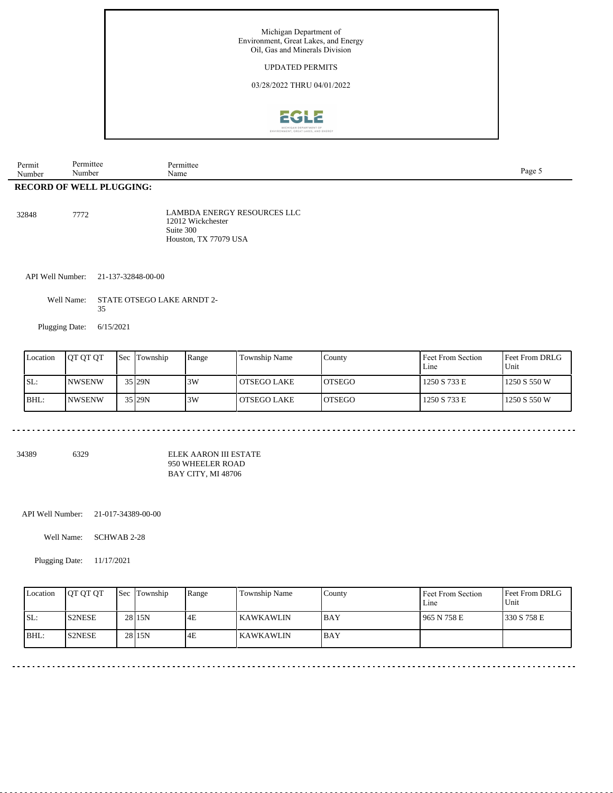![](_page_6_Picture_0.jpeg)

| Permit | Permittee                       | Permittee | Page. |
|--------|---------------------------------|-----------|-------|
| Number | Number                          | Name      |       |
|        | <b>RECORD OF WELL PLUGGING:</b> |           |       |

32848 7772 LAMBDA ENERGY RESOURCES LLC 12012 Wickchester Suite 300 Houston, TX 77079 USA

. . . . . . . . . . . .

API Well Number: 21-137-32848-00-00

Well Name: STATE OTSEGO LAKE ARNDT 2- 35

Plugging Date: 6/15/2021

| Location | IOT OT OT | <b>Sec</b> | Township | Range | <b>Township Name</b> | Countv         | Feet From Section<br>$L$ me | Feet From DRLG<br>Unit |
|----------|-----------|------------|----------|-------|----------------------|----------------|-----------------------------|------------------------|
| SL:      | INWSENW   |            | 35 29N   | 3W    | l OTSEGO LAKE        | <b>IOTSEGO</b> | 1250 S 733 E                | 1250 S 550 W           |
| BHL:     | INWSENW   |            | 35 29N   | 3W    | l OTSEGO LAKE        | <b>LOTSEGO</b> | 1250 S 733 E                | 1250 S 550 W           |

\_\_\_\_\_\_\_\_\_\_\_\_\_\_\_\_\_\_\_\_\_\_\_\_\_\_\_\_\_\_\_\_\_\_\_\_

34389 6329

ELEK AARON III ESTATE 950 WHEELER ROAD BAY CITY, MI 48706

API Well Number: 21-017-34389-00-00

الدائم المرابط المرابط المر

Well Name: SCHWAB 2-28

Plugging Date: 11/17/2021

| Location | <b>IOT OT OT</b> | <b>Sec Township</b> | Range | Township Name | County     | Feet From Section<br>Line | <b>Feet From DRLG</b><br>l Unit |
|----------|------------------|---------------------|-------|---------------|------------|---------------------------|---------------------------------|
| SL:      | <b>S2NESE</b>    | 28 <sub>15N</sub>   | 4E    | l KAWKAWLIN   | <b>BAY</b> | 1965 N 758 E              | 1330 S 758 E                    |
| $IBHL$ : | <b>S2NESE</b>    | 28 <sub>15N</sub>   | 4E    | KAWKAWLIN     | <b>BAY</b> |                           |                                 |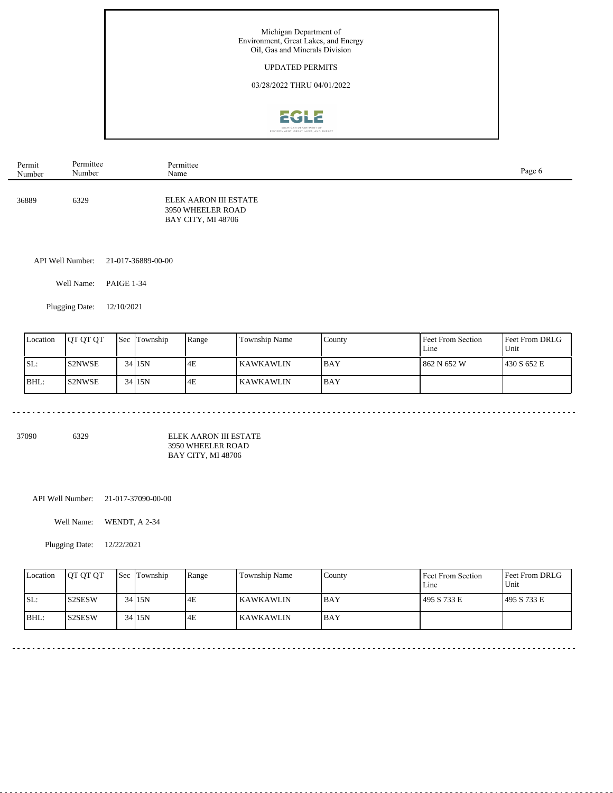![](_page_7_Picture_0.jpeg)

| Permit | Permittee | Permittee                                                        | Page 6 |
|--------|-----------|------------------------------------------------------------------|--------|
| Number | Number    | Name                                                             |        |
| 36889  | 6329      | ELEK AARON III ESTATE<br>3950 WHEELER ROAD<br>BAY CITY, MI 48706 |        |

API Well Number: 21-017-36889-00-00

Well Name: PAIGE 1-34

Plugging Date: 12/10/2021

| Location | <b>IOT OT OT</b> | <b>Sec</b> Township | Range | <b>Township Name</b> | County      | Feet From Section<br>$L$ ine | <b>Feet From DRLG</b><br>Unit |
|----------|------------------|---------------------|-------|----------------------|-------------|------------------------------|-------------------------------|
| ISL:     | <b>S2NWSE</b>    | 34 15N              | 4E    | l KAWKAWLIN          | <b>IBAY</b> | 862 N 652 W                  | 1430 S 652 E                  |
| BHL:     | <b>IS2NWSE</b>   | 34 15N              | 4E    | KAWKAWLIN            | <b>IBAY</b> |                              |                               |

37090 6329

ELEK AARON III ESTATE 3950 WHEELER ROAD BAY CITY, MI 48706

API Well Number: 21-017-37090-00-00

Well Name: WENDT, A 2-34

Plugging Date: 12/22/2021

| Location | <b>OT OT OT</b>     | <b>Sec Township</b> | Range | <b>Township Name</b> | County      | Feet From Section<br>Line | <b>Feet From DRLG</b><br>Unit |
|----------|---------------------|---------------------|-------|----------------------|-------------|---------------------------|-------------------------------|
| SL:      | S <sub>2</sub> SESW | 34 15N              | 4E    | <b>KAWKAWLIN</b>     | <b>BAY</b>  | 495 S 733 E               | 495 S 733 E                   |
| BHL:     | S <sub>2</sub> SESW | 34 15N              | 4E    | l KAWKAWLIN          | <b>IBAY</b> |                           |                               |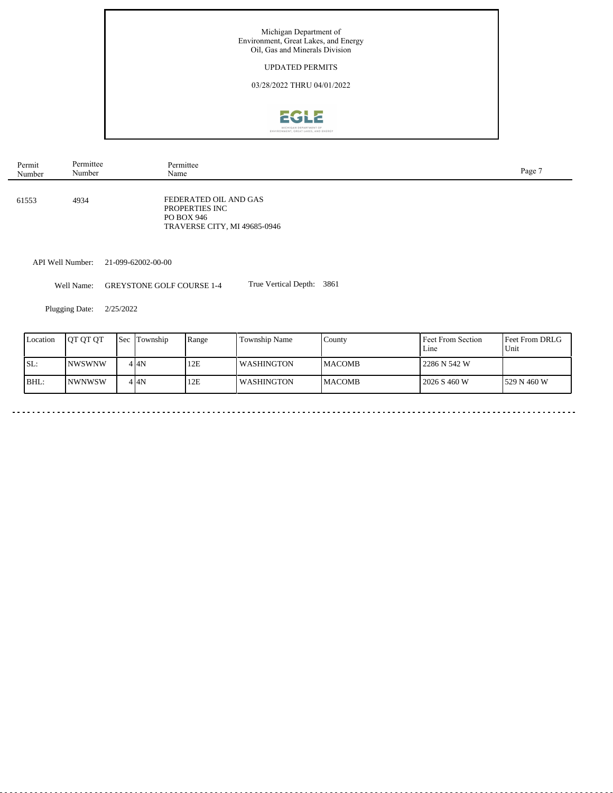![](_page_8_Picture_0.jpeg)

| Permit | Permittee | Permittee                                                                             | Page 7 |
|--------|-----------|---------------------------------------------------------------------------------------|--------|
| Number | Number    | Name                                                                                  |        |
| 61553  | 4934      | FEDERATED OIL AND GAS<br>PROPERTIES INC<br>PO BOX 946<br>TRAVERSE CITY, MI 49685-0946 |        |

API Well Number: 21-099-62002-00-00

Well Name: GREYSTONE GOLF COURSE 1-4 True Vertical Depth: 3861

Plugging Date: 2/25/2022

 $\sim$ 

| Location | <b>IOT OT OT</b> | <b>Sec</b> Township | Range | Township Name     | County         | <b>Feet From Section</b><br>Line | <b>Feet From DRLG</b><br>Unit |
|----------|------------------|---------------------|-------|-------------------|----------------|----------------------------------|-------------------------------|
| ISL:     | <b>NWSWNW</b>    | 4 I 4 N             | 12E   | <b>WASHINGTON</b> | <b>IMACOMB</b> | l 2286 N 542 W                   |                               |
| BHL:     | <b>NWNWSW</b>    | 4 I4N               | 12E   | <b>WASHINGTON</b> | <b>IMACOMB</b> | 2026 S 460 W                     | 1529 N 460 W                  |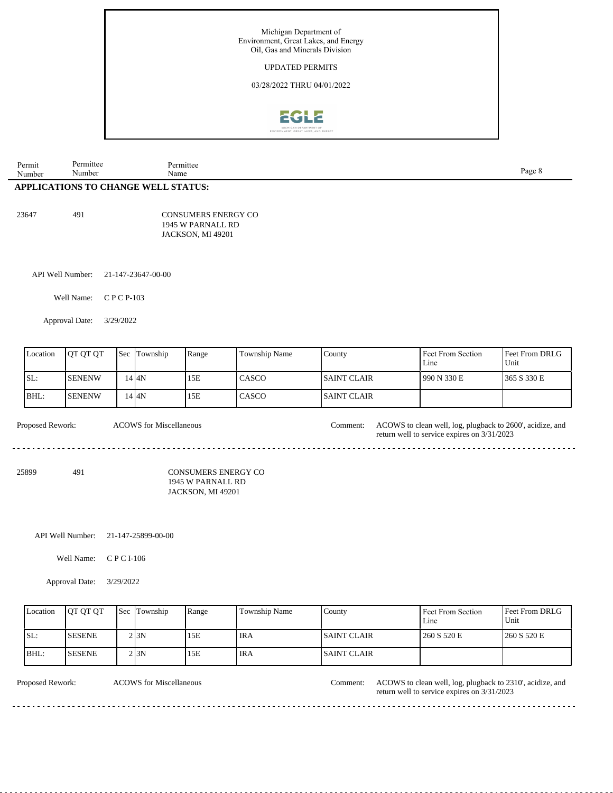![](_page_9_Picture_0.jpeg)

| Permit | Permittee                                  | Permittee                  |        |
|--------|--------------------------------------------|----------------------------|--------|
| Number | Number                                     | Name                       | Page 8 |
|        | <b>APPLICATIONS TO CHANGE WELL STATUS:</b> |                            |        |
|        |                                            |                            |        |
|        |                                            |                            |        |
| 23647  | 491                                        | <b>CONSUMERS ENERGY CO</b> |        |
|        |                                            | 1945 W PARNALL RD          |        |
|        |                                            | JACKSON, MI 49201          |        |
|        |                                            |                            |        |

API Well Number: 21-147-23647-00-00

Well Name: C P C P-103

Approval Date: 3/29/2022

| Location | <b>OT OT OT</b> | <b>Sec</b> Township | Range | <b>Township Name</b> | County              | Feet From Section<br>Line | <b>Feet From DRLG</b><br>Unit |
|----------|-----------------|---------------------|-------|----------------------|---------------------|---------------------------|-------------------------------|
| SL:      | <b>ISENENW</b>  | 14 I 4 N            | 15E   | <b>CASCO</b>         | <b>ISAINT CLAIR</b> | 990 N 330 E               | 365 S 330 E                   |
| IBHL:    | <b>ISENENW</b>  | 14 I 4 N            | 15E   | CASCO                | <b>ISAINT CLAIR</b> |                           |                               |

Proposed Rework: ACOWS for Miscellaneous and the comment: ACOWS to clean well, log, plugback to 2600', acidize, and

25899 491

CONSUMERS ENERGY CO 1945 W PARNALL RD JACKSON, MI 49201

ACOWS for Miscellaneous Comment:

API Well Number: 21-147-25899-00-00

Well Name: C P C I-106

Approval Date: 3/29/2022

| Location | <b>IOT OT OT</b> | <b>Sec Township</b> | Range | Township Name    | County              | Feet From Section<br>Line | <b>Feet From DRLG</b><br>Unit |
|----------|------------------|---------------------|-------|------------------|---------------------|---------------------------|-------------------------------|
| ISL:     | <b>ISESENE</b>   | 2 I 3 N             | 15E   | ' IRA            | <b>ISAINT CLAIR</b> | 260 S 520 E               | 1260 S 520 E                  |
| BHL:     | <b>ISESENE</b>   | 2 3N                | 15E   | <sup>'</sup> IRA | <b>ISAINT CLAIR</b> |                           |                               |

ACOWS for Miscellaneous

Proposed Rework: ACOWS for Miscellaneous Comment: ACOWS to clean well, log, plugback to 2310', acidize, and return well to service expires on 3/31/2023

a a a a a a a

a a a a a

<u>. . . . . . . . . . .</u>

return well to service expires on 3/31/2023

. . . . . . . . . . . . . . .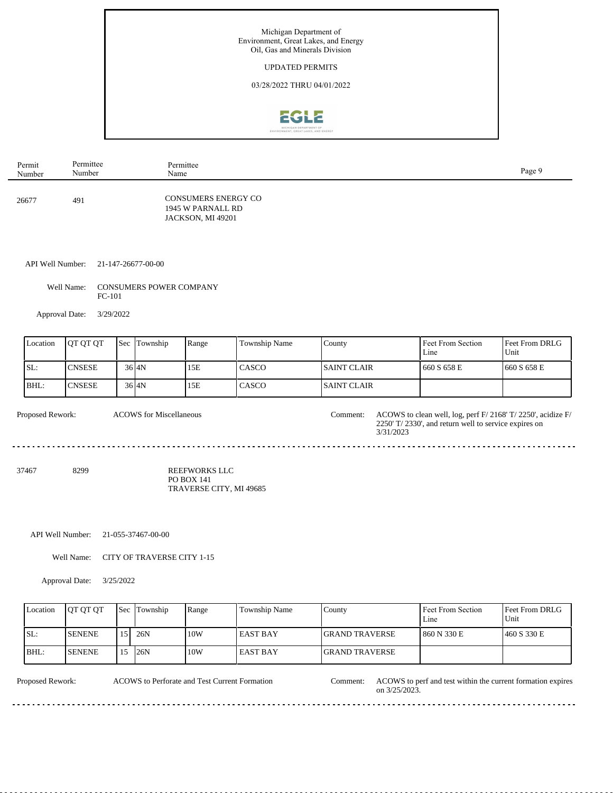![](_page_10_Picture_0.jpeg)

| Permit | Permittee | Permittee                                                            | Page 9 |
|--------|-----------|----------------------------------------------------------------------|--------|
| Number | Number    | Name                                                                 |        |
| 26677  | 491       | <b>CONSUMERS ENERGY CO</b><br>1945 W PARNALL RD<br>JACKSON, MI 49201 |        |

API Well Number: 21-147-26677-00-00

Well Name: CONSUMERS POWER COMPANY FC-101

Approval Date: 3/29/2022

| Location | <b>IOT OT OT</b> | <b>Sec Township</b> | Range | <b>Township Name</b> | County              | Feet From Section<br>Line | Feet From DRLG<br>Unit |
|----------|------------------|---------------------|-------|----------------------|---------------------|---------------------------|------------------------|
| ISL:     | <b>CNSESE</b>    | $36$ $4N$           | 15E   | CASCO                | <b>ISAINT CLAIR</b> | 1660 S 658 E              | 1660 S 658 E           |
| BHL:     | ICNSESE          | $36$ $4N$           | 15E   | CASCO                | <b>ISAINT CLAIR</b> |                           |                        |

<u>. . . . . . . . . . . . .</u>

ACOWS for Miscellaneous Comment:

Proposed Rework: ACOWS for Miscellaneous Comment: ACOWS to clean well, log, perf F/ 2168' T/ 2250', acidize F/ 2250' T/ 2330', and return well to service expires on 3/31/2023

37467 8299 REEFWORKS LLC PO BOX 141 TRAVERSE CITY, MI 49685

API Well Number: 21-055-37467-00-00

Well Name: CITY OF TRAVERSE CITY 1-15

. . . . . . . . . . . . . . . . .

Approval Date: 3/25/2022

| Location | <b>IOT OT OT</b> | <b>Sec Township</b> | Range | Township Name    | County                 | Feet From Section<br>Line | <b>Feet From DRLG</b><br>Unit |
|----------|------------------|---------------------|-------|------------------|------------------------|---------------------------|-------------------------------|
| ISL:     | <b>ISENENE</b>   | 26N                 | 10W   | <b>LEAST BAY</b> | <b>IGRAND TRAVERSE</b> | 1 860 N 330 E             | 460 S 330 E                   |
| BHL:     | <b>ISENENE</b>   | 26N                 | 10W   | <b>EAST BAY</b>  | <b>IGRAND TRAVERSE</b> |                           |                               |

ACOWS to Perforate and Test Current Formation

<u>. . . . . . . . . . .</u>

Proposed Rework: ACOWS to Perforate and Test Current Formation Comment: ACOWS to perf and test within the current formation expires on 3/25/2023. <u>. . . . . . . . . . . . . . . . .</u>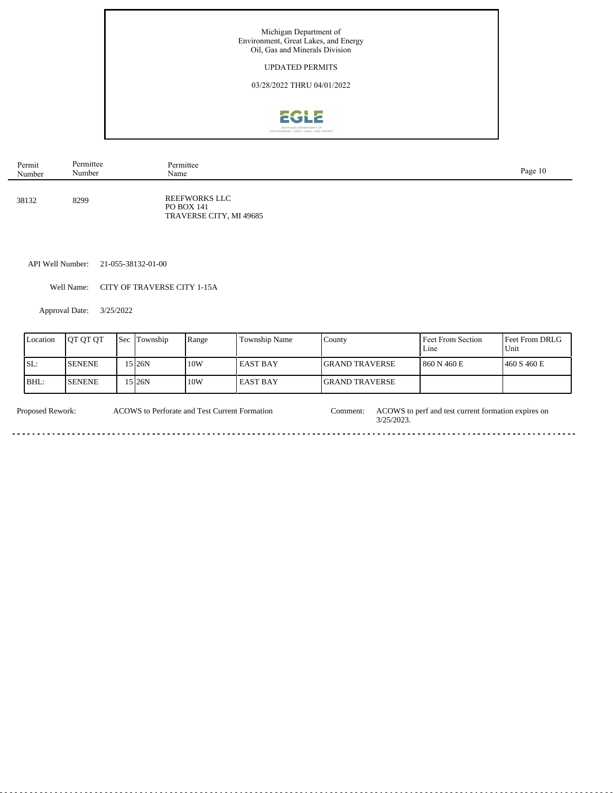![](_page_11_Picture_0.jpeg)

| Permit | Permittee | Permittee                                                     | Page 10 |
|--------|-----------|---------------------------------------------------------------|---------|
| Number | Number    | Name                                                          |         |
| 38132  | 8299      | REEFWORKS LLC<br><b>PO BOX 141</b><br>TRAVERSE CITY, MI 49685 |         |

API Well Number: 21-055-38132-01-00

Well Name: CITY OF TRAVERSE CITY 1-15A

Approval Date: 3/25/2022

Ĭ.

| Location | <b>OT OT OT</b> | l Sec | Township | Range | Township Name | Countv                 | Feet From Section<br>Line | <b>Feet From DRLG</b><br>Unit |
|----------|-----------------|-------|----------|-------|---------------|------------------------|---------------------------|-------------------------------|
| SL:      | <b>SENENE</b>   |       | 5 26N    | 10W   | l EAST BAY    | <b>IGRAND TRAVERSE</b> | 860 N 460 E               | 1460 S 460 E                  |
| BHL:     | <b>ISENENE</b>  |       | 5 26N    | 10W   | l EAST BAY    | <b>IGRAND TRAVERSE</b> |                           |                               |

Proposed Rework: ACOWS to Perforate and Test Current Formation Comment: ACOWS to perf and test current formation expires on 3/25/2023. ACOWS to Perforate and Test Current Formation